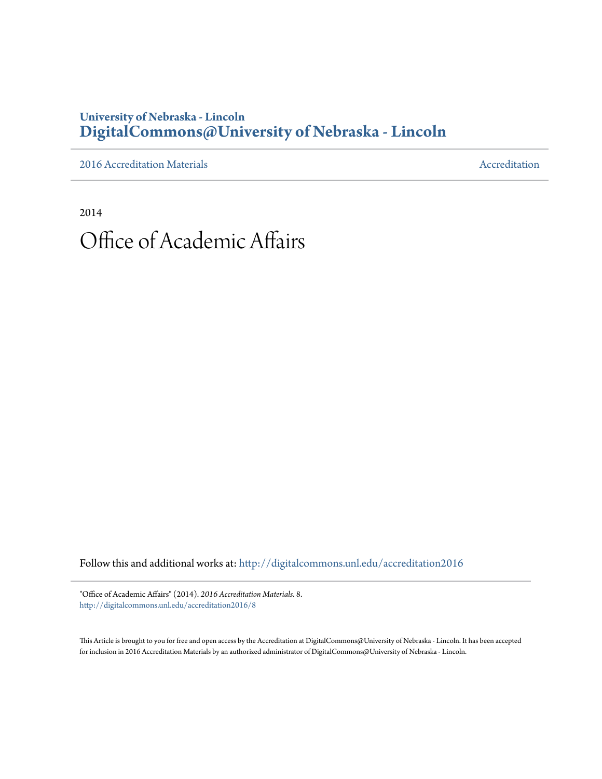## **University of Nebraska - Lincoln [DigitalCommons@University of Nebraska - Lincoln](http://digitalcommons.unl.edu?utm_source=digitalcommons.unl.edu%2Faccreditation2016%2F8&utm_medium=PDF&utm_campaign=PDFCoverPages)**

[2016 Accreditation Materials](http://digitalcommons.unl.edu/accreditation2016?utm_source=digitalcommons.unl.edu%2Faccreditation2016%2F8&utm_medium=PDF&utm_campaign=PDFCoverPages) **[Accreditation](http://digitalcommons.unl.edu/accreditation?utm_source=digitalcommons.unl.edu%2Faccreditation2016%2F8&utm_medium=PDF&utm_campaign=PDFCoverPages) Materials** Accreditation Accreditation

2014

## Office of Academic Affairs

Follow this and additional works at: [http://digitalcommons.unl.edu/accreditation2016](http://digitalcommons.unl.edu/accreditation2016?utm_source=digitalcommons.unl.edu%2Faccreditation2016%2F8&utm_medium=PDF&utm_campaign=PDFCoverPages)

"Office of Academic Affairs" (2014). *2016 Accreditation Materials*. 8. [http://digitalcommons.unl.edu/accreditation2016/8](http://digitalcommons.unl.edu/accreditation2016/8?utm_source=digitalcommons.unl.edu%2Faccreditation2016%2F8&utm_medium=PDF&utm_campaign=PDFCoverPages)

This Article is brought to you for free and open access by the Accreditation at DigitalCommons@University of Nebraska - Lincoln. It has been accepted for inclusion in 2016 Accreditation Materials by an authorized administrator of DigitalCommons@University of Nebraska - Lincoln.